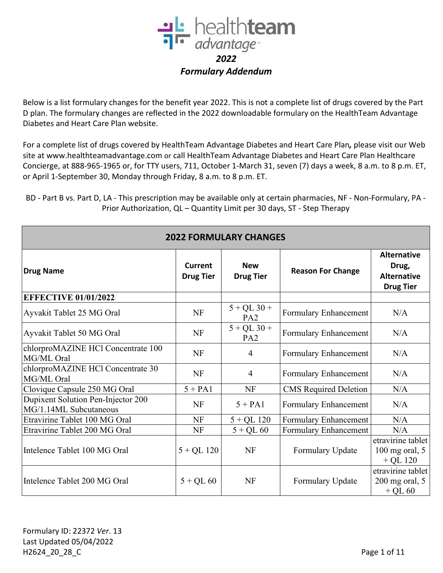

Below is a list formulary changes for the benefit year 2022. This is not a complete list of drugs covered by the Part D plan. The formulary changes are reflected in the 2022 downloadable formulary on the HealthTeam Advantage Diabetes and Heart Care Plan website.

For a complete list of drugs covered by HealthTeam Advantage Diabetes and Heart Care Plan*,* please visit our Web site at www.healthteamadvantage.com or call HealthTeam Advantage Diabetes and Heart Care Plan Healthcare Concierge, at 888-965-1965 or, for TTY users, 711, October 1-March 31, seven (7) days a week, 8 a.m. to 8 p.m. ET, or April 1-September 30, Monday through Friday, 8 a.m. to 8 p.m. ET.

BD - Part B vs. Part D, LA - This prescription may be available only at certain pharmacies, NF - Non-Formulary, PA - Prior Authorization, QL – Quantity Limit per 30 days, ST - Step Therapy

| <b>2022 FORMULARY CHANGES</b>                                |                                    |                                  |                              |                                                                       |  |
|--------------------------------------------------------------|------------------------------------|----------------------------------|------------------------------|-----------------------------------------------------------------------|--|
| <b>Drug Name</b>                                             | <b>Current</b><br><b>Drug Tier</b> | <b>New</b><br><b>Drug Tier</b>   | <b>Reason For Change</b>     | <b>Alternative</b><br>Drug,<br><b>Alternative</b><br><b>Drug Tier</b> |  |
| <b>EFFECTIVE 01/01/2022</b>                                  |                                    |                                  |                              |                                                                       |  |
| Ayvakit Tablet 25 MG Oral                                    | <b>NF</b>                          | $5 + QL$ 30 +<br>PA <sub>2</sub> | Formulary Enhancement        | N/A                                                                   |  |
| Ayvakit Tablet 50 MG Oral                                    | <b>NF</b>                          | $5 + QL$ 30 +<br>PA <sub>2</sub> | Formulary Enhancement        | N/A                                                                   |  |
| chlorproMAZINE HCl Concentrate 100<br>MG/ML Oral             | <b>NF</b>                          | $\overline{4}$                   | Formulary Enhancement        | N/A                                                                   |  |
| chlorproMAZINE HCl Concentrate 30<br>MG/ML Oral              | NF                                 | $\overline{4}$                   | Formulary Enhancement        | N/A                                                                   |  |
| Clovique Capsule 250 MG Oral                                 | $5 + PA1$                          | <b>NF</b>                        | <b>CMS</b> Required Deletion | N/A                                                                   |  |
| Dupixent Solution Pen-Injector 200<br>MG/1.14ML Subcutaneous | <b>NF</b>                          | $5 + PA1$                        | Formulary Enhancement        | N/A                                                                   |  |
| Etravirine Tablet 100 MG Oral                                | <b>NF</b>                          | $5 + QL$ 120                     | Formulary Enhancement        | N/A                                                                   |  |
| Etravirine Tablet 200 MG Oral                                | NF                                 | $5 + QL 60$                      | Formulary Enhancement        | N/A                                                                   |  |
| Intelence Tablet 100 MG Oral                                 | $5 + QL$ 120                       | <b>NF</b>                        | Formulary Update             | etravirine tablet<br>$100$ mg oral, $5$<br>$+$ QL 120                 |  |
| Intelence Tablet 200 MG Oral                                 | $5 + QL 60$                        | <b>NF</b>                        | Formulary Update             | etravirine tablet<br>$200$ mg oral, $5$<br>$+$ QL 60                  |  |

**2022 FORMULARY CHANGES**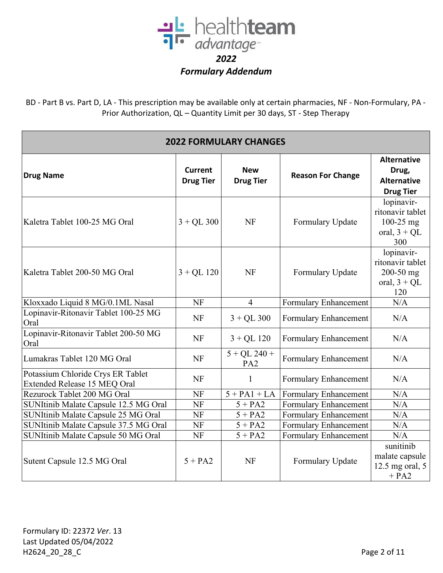

| <b>2022 FORMULARY CHANGES</b>                                     |                                    |                                   |                          |                                                                        |  |
|-------------------------------------------------------------------|------------------------------------|-----------------------------------|--------------------------|------------------------------------------------------------------------|--|
| <b>Drug Name</b>                                                  | <b>Current</b><br><b>Drug Tier</b> | <b>New</b><br><b>Drug Tier</b>    | <b>Reason For Change</b> | <b>Alternative</b><br>Drug,<br><b>Alternative</b><br><b>Drug Tier</b>  |  |
| Kaletra Tablet 100-25 MG Oral                                     | $3 + QL$ 300                       | <b>NF</b>                         | Formulary Update         | lopinavir-<br>ritonavir tablet<br>$100-25$ mg<br>oral, $3 + QL$<br>300 |  |
| Kaletra Tablet 200-50 MG Oral                                     | $3 + QL$ 120                       | <b>NF</b>                         | Formulary Update         | lopinavir-<br>ritonavir tablet<br>200-50 mg<br>oral, $3 + QL$<br>120   |  |
| Kloxxado Liquid 8 MG/0.1ML Nasal                                  | NF                                 | $\overline{4}$                    | Formulary Enhancement    | N/A                                                                    |  |
| Lopinavir-Ritonavir Tablet 100-25 MG<br>Oral                      | <b>NF</b>                          | $3 + QL$ 300                      | Formulary Enhancement    | N/A                                                                    |  |
| Lopinavir-Ritonavir Tablet 200-50 MG<br>Oral                      | <b>NF</b>                          | $3 + QL$ 120                      | Formulary Enhancement    | N/A                                                                    |  |
| Lumakras Tablet 120 MG Oral                                       | <b>NF</b>                          | $5 + QL$ 240 +<br>PA <sub>2</sub> | Formulary Enhancement    | N/A                                                                    |  |
| Potassium Chloride Crys ER Tablet<br>Extended Release 15 MEQ Oral | <b>NF</b>                          | 1                                 | Formulary Enhancement    | N/A                                                                    |  |
| Rezurock Tablet 200 MG Oral                                       | <b>NF</b>                          | $5 + PA1 + LA$                    | Formulary Enhancement    | N/A                                                                    |  |
| SUNItinib Malate Capsule 12.5 MG Oral                             | <b>NF</b>                          | $5 + PA2$                         | Formulary Enhancement    | N/A                                                                    |  |
| SUNItinib Malate Capsule 25 MG Oral                               | <b>NF</b>                          | $5 + PA2$                         | Formulary Enhancement    | N/A                                                                    |  |
| SUNItinib Malate Capsule 37.5 MG Oral                             | <b>NF</b>                          | $5 + PA2$                         | Formulary Enhancement    | N/A                                                                    |  |
| SUNItinib Malate Capsule 50 MG Oral                               | <b>NF</b>                          | $5 + PA2$                         | Formulary Enhancement    | N/A                                                                    |  |
| Sutent Capsule 12.5 MG Oral                                       | $5 + PA2$                          | <b>NF</b>                         | Formulary Update         | sunitinib<br>malate capsule<br>12.5 mg oral, $5$<br>$+ PA2$            |  |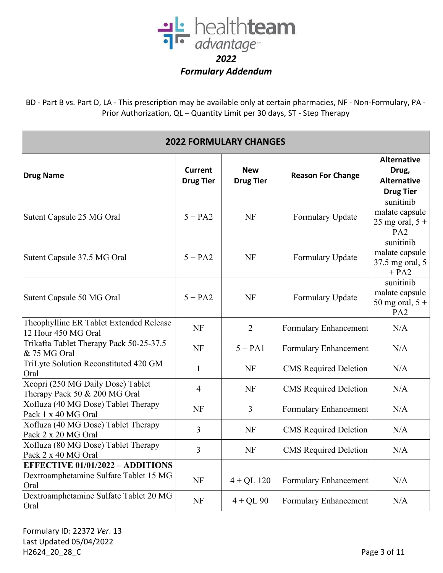

BD - Part B vs. Part D, LA - This prescription may be available only at certain pharmacies, NF - Non-Formulary, PA - Prior Authorization, QL – Quantity Limit per 30 days, ST - Step Therapy

| <b>2022 FORMULARY CHANGES</b>                                      |                                    |                                |                              |                                                                       |
|--------------------------------------------------------------------|------------------------------------|--------------------------------|------------------------------|-----------------------------------------------------------------------|
| <b>Drug Name</b>                                                   | <b>Current</b><br><b>Drug Tier</b> | <b>New</b><br><b>Drug Tier</b> | <b>Reason For Change</b>     | <b>Alternative</b><br>Drug,<br><b>Alternative</b><br><b>Drug Tier</b> |
| Sutent Capsule 25 MG Oral                                          | $5 + PA2$                          | <b>NF</b>                      | Formulary Update             | sunitinib<br>malate capsule<br>25 mg oral, $5 +$<br>PA <sub>2</sub>   |
| Sutent Capsule 37.5 MG Oral                                        | $5 + PA2$                          | <b>NF</b>                      | Formulary Update             | sunitinib<br>malate capsule<br>37.5 mg oral, 5<br>$+ PA2$             |
| Sutent Capsule 50 MG Oral                                          | $5 + PA2$                          | <b>NF</b>                      | Formulary Update             | sunitinib<br>malate capsule<br>50 mg oral, $5 +$<br>PA <sub>2</sub>   |
| Theophylline ER Tablet Extended Release<br>12 Hour 450 MG Oral     | <b>NF</b>                          | $\overline{2}$                 | Formulary Enhancement        | N/A                                                                   |
| Trikafta Tablet Therapy Pack 50-25-37.5<br>& 75 MG Oral            | <b>NF</b>                          | $5 + PA1$                      | Formulary Enhancement        | N/A                                                                   |
| TriLyte Solution Reconstituted 420 GM<br>Oral                      | $\mathbf{1}$                       | <b>NF</b>                      | <b>CMS</b> Required Deletion | N/A                                                                   |
| Xcopri (250 MG Daily Dose) Tablet<br>Therapy Pack 50 & 200 MG Oral | 4                                  | <b>NF</b>                      | <b>CMS</b> Required Deletion | N/A                                                                   |
| Xofluza (40 MG Dose) Tablet Therapy<br>Pack 1 x 40 MG Oral         | <b>NF</b>                          | $\overline{3}$                 | Formulary Enhancement        | N/A                                                                   |
| Xofluza (40 MG Dose) Tablet Therapy<br>Pack 2 x 20 MG Oral         | 3                                  | <b>NF</b>                      | <b>CMS</b> Required Deletion | N/A                                                                   |
| Xofluza (80 MG Dose) Tablet Therapy<br>Pack 2 x 40 MG Oral         | 3                                  | <b>NF</b>                      | <b>CMS</b> Required Deletion | N/A                                                                   |
| <b>EFFECTIVE 01/01/2022 - ADDITIONS</b>                            |                                    |                                |                              |                                                                       |
| Dextroamphetamine Sulfate Tablet 15 MG<br>Oral                     | NF                                 | $4 + QL$ 120                   | Formulary Enhancement        | N/A                                                                   |
| Dextroamphetamine Sulfate Tablet 20 MG<br>Oral                     | NF                                 | $4 + QL$ 90                    | Formulary Enhancement        | N/A                                                                   |

Formulary ID: 22372 *Ver*. 13 Last Updated 05/04/2022 H2624\_20\_28\_C Page 3 of 11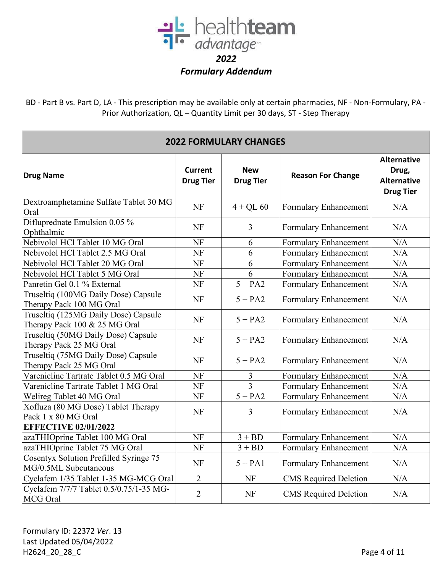

| <b>2022 FORMULARY CHANGES</b>                                          |                                    |                                |                              |                                                                       |
|------------------------------------------------------------------------|------------------------------------|--------------------------------|------------------------------|-----------------------------------------------------------------------|
| <b>Drug Name</b>                                                       | <b>Current</b><br><b>Drug Tier</b> | <b>New</b><br><b>Drug Tier</b> | <b>Reason For Change</b>     | <b>Alternative</b><br>Drug,<br><b>Alternative</b><br><b>Drug Tier</b> |
| Dextroamphetamine Sulfate Tablet 30 MG<br>Oral                         | <b>NF</b>                          | $4 + QL 60$                    | Formulary Enhancement        | N/A                                                                   |
| Difluprednate Emulsion 0.05 %<br>Ophthalmic                            | <b>NF</b>                          | $\overline{3}$                 | Formulary Enhancement        | N/A                                                                   |
| Nebivolol HCl Tablet 10 MG Oral                                        | <b>NF</b>                          | 6                              | Formulary Enhancement        | N/A                                                                   |
| Nebivolol HCl Tablet 2.5 MG Oral                                       | NF                                 | 6                              | Formulary Enhancement        | N/A                                                                   |
| Nebivolol HCl Tablet 20 MG Oral                                        | <b>NF</b>                          | 6                              | Formulary Enhancement        | N/A                                                                   |
| Nebivolol HCl Tablet 5 MG Oral                                         | NF                                 | 6                              | Formulary Enhancement        | N/A                                                                   |
| Panretin Gel 0.1 % External                                            | <b>NF</b>                          | $5 + PA2$                      | Formulary Enhancement        | N/A                                                                   |
| Truseltiq (100MG Daily Dose) Capsule<br>Therapy Pack 100 MG Oral       | NF                                 | $5 + PA2$                      | Formulary Enhancement        | N/A                                                                   |
| Truseltiq (125MG Daily Dose) Capsule<br>Therapy Pack 100 & 25 MG Oral  | <b>NF</b>                          | $5 + PA2$                      | Formulary Enhancement        | N/A                                                                   |
| Truseltiq (50MG Daily Dose) Capsule<br>Therapy Pack 25 MG Oral         | <b>NF</b>                          | $5 + PA2$                      | Formulary Enhancement        | N/A                                                                   |
| Truseltiq (75MG Daily Dose) Capsule<br>Therapy Pack 25 MG Oral         | <b>NF</b>                          | $5 + PA2$                      | Formulary Enhancement        | N/A                                                                   |
| Varenicline Tartrate Tablet 0.5 MG Oral                                | NF                                 | 3                              | Formulary Enhancement        | N/A                                                                   |
| Varenicline Tartrate Tablet 1 MG Oral                                  | NF                                 | $\overline{3}$                 | <b>Formulary Enhancement</b> | N/A                                                                   |
| Welireg Tablet 40 MG Oral                                              | NF                                 | $5 + PA2$                      | Formulary Enhancement        | N/A                                                                   |
| Xofluza (80 MG Dose) Tablet Therapy<br>Pack 1 x 80 MG Oral             | <b>NF</b>                          | 3                              | Formulary Enhancement        | N/A                                                                   |
| <b>EFFECTIVE 02/01/2022</b>                                            |                                    |                                |                              |                                                                       |
| azaTHIOprine Tablet 100 MG Oral                                        | <b>NF</b>                          | $3 + BD$                       | Formulary Enhancement        | N/A                                                                   |
| azaTHIOprine Tablet 75 MG Oral                                         | NF                                 | $3 + BD$                       | Formulary Enhancement        | N/A                                                                   |
| <b>Cosentyx Solution Prefilled Syringe 75</b><br>MG/0.5ML Subcutaneous | <b>NF</b>                          | $5 + PA1$                      | Formulary Enhancement        | N/A                                                                   |
| Cyclafem 1/35 Tablet 1-35 MG-MCG Oral                                  | $\overline{2}$                     | NF                             | <b>CMS</b> Required Deletion | N/A                                                                   |
| Cyclafem 7/7/7 Tablet 0.5/0.75/1-35 MG-<br>MCG Oral                    | $\overline{2}$                     | NF                             | <b>CMS</b> Required Deletion | N/A                                                                   |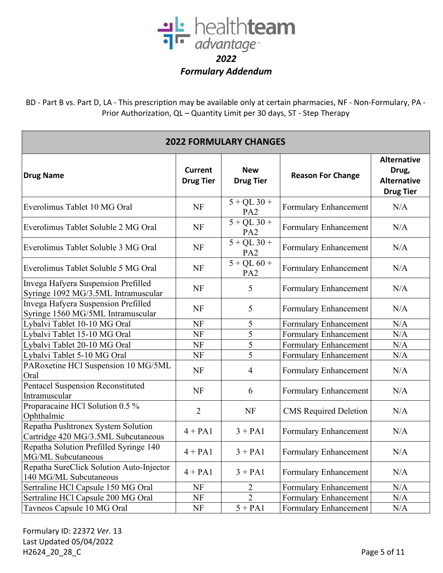

BD - Part B vs. Part D, LA - This prescription may be available only at certain pharmacies, NF - Non-Formulary, PA - Prior Authorization, QL – Quantity Limit per 30 days, ST - Step Therapy

| <b>2022 FORMULARY CHANGES</b>                                              |                                    |                                  |                              |                                                                       |  |
|----------------------------------------------------------------------------|------------------------------------|----------------------------------|------------------------------|-----------------------------------------------------------------------|--|
| <b>Drug Name</b>                                                           | <b>Current</b><br><b>Drug Tier</b> | <b>New</b><br><b>Drug Tier</b>   | <b>Reason For Change</b>     | <b>Alternative</b><br>Drug,<br><b>Alternative</b><br><b>Drug Tier</b> |  |
| Everolimus Tablet 10 MG Oral                                               | <b>NF</b>                          | $5 + QL$ 30 +<br>PA <sub>2</sub> | Formulary Enhancement        | N/A                                                                   |  |
| Everolimus Tablet Soluble 2 MG Oral                                        | NF                                 | $5 + QL$ 30 +<br>PA <sub>2</sub> | Formulary Enhancement        | N/A                                                                   |  |
| Everolimus Tablet Soluble 3 MG Oral                                        | <b>NF</b>                          | $5 + QL$ 30 +<br>PA <sub>2</sub> | Formulary Enhancement        | N/A                                                                   |  |
| Everolimus Tablet Soluble 5 MG Oral                                        | <b>NF</b>                          | $5 + QL 60 +$<br>PA <sub>2</sub> | Formulary Enhancement        | N/A                                                                   |  |
| Invega Hafyera Suspension Prefilled<br>Syringe 1092 MG/3.5ML Intramuscular | <b>NF</b>                          | 5                                | Formulary Enhancement        | N/A                                                                   |  |
| Invega Hafyera Suspension Prefilled<br>Syringe 1560 MG/5ML Intramuscular   | NF                                 | 5                                | Formulary Enhancement        | N/A                                                                   |  |
| Lybalvi Tablet 10-10 MG Oral                                               | NF                                 | 5                                | Formulary Enhancement        | N/A                                                                   |  |
| Lybalvi Tablet 15-10 MG Oral                                               | NF                                 | 5                                | Formulary Enhancement        | N/A                                                                   |  |
| Lybalvi Tablet 20-10 MG Oral                                               | <b>NF</b>                          | 5                                | Formulary Enhancement        | N/A                                                                   |  |
| Lybalvi Tablet 5-10 MG Oral                                                | NF                                 | 5                                | Formulary Enhancement        | N/A                                                                   |  |
| PARoxetine HCl Suspension 10 MG/5ML<br>Oral                                | <b>NF</b>                          | $\overline{4}$                   | Formulary Enhancement        | N/A                                                                   |  |
| Pentacel Suspension Reconstituted<br>Intramuscular                         | <b>NF</b>                          | 6                                | Formulary Enhancement        | N/A                                                                   |  |
| Proparacaine HCl Solution 0.5 %<br>Ophthalmic                              | $\overline{2}$                     | <b>NF</b>                        | <b>CMS</b> Required Deletion | N/A                                                                   |  |
| Repatha Pushtronex System Solution<br>Cartridge 420 MG/3.5ML Subcutaneous  | $4 + PA1$                          | $3 + PA1$                        | Formulary Enhancement        | N/A                                                                   |  |
| Repatha Solution Prefilled Syringe 140<br>MG/ML Subcutaneous               | $4 + PA1$                          | $3 + PA1$                        | Formulary Enhancement        | N/A                                                                   |  |
| Repatha SureClick Solution Auto-Injector<br>140 MG/ML Subcutaneous         | $4 + PA1$                          | $3 + PA1$                        | Formulary Enhancement        | N/A                                                                   |  |
| Sertraline HCl Capsule 150 MG Oral                                         | <b>NF</b>                          | $\overline{2}$                   | Formulary Enhancement        | N/A                                                                   |  |
| Sertraline HCl Capsule 200 MG Oral                                         | <b>NF</b>                          | $\overline{2}$                   | Formulary Enhancement        | N/A                                                                   |  |
| Tavneos Capsule 10 MG Oral                                                 | <b>NF</b>                          | $5 + PA1$                        | Formulary Enhancement        | N/A                                                                   |  |

Formulary ID: 22372 *Ver*. 13 Last Updated 05/04/2022 H2624\_20\_28\_C Page 5 of 11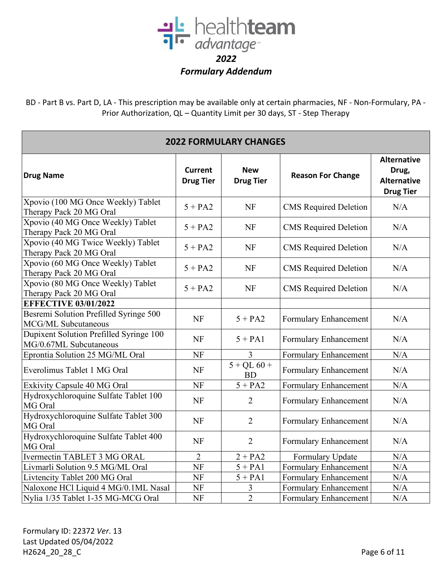

| <b>2022 FORMULARY CHANGES</b>                                     |                                    |                                |                              |                                                                       |
|-------------------------------------------------------------------|------------------------------------|--------------------------------|------------------------------|-----------------------------------------------------------------------|
| <b>Drug Name</b>                                                  | <b>Current</b><br><b>Drug Tier</b> | <b>New</b><br><b>Drug Tier</b> | <b>Reason For Change</b>     | <b>Alternative</b><br>Drug,<br><b>Alternative</b><br><b>Drug Tier</b> |
| Xpovio (100 MG Once Weekly) Tablet<br>Therapy Pack 20 MG Oral     | $5 + PA2$                          | <b>NF</b>                      | <b>CMS</b> Required Deletion | N/A                                                                   |
| Xpovio (40 MG Once Weekly) Tablet<br>Therapy Pack 20 MG Oral      | $5 + PA2$                          | <b>NF</b>                      | <b>CMS</b> Required Deletion | N/A                                                                   |
| Xpovio (40 MG Twice Weekly) Tablet<br>Therapy Pack 20 MG Oral     | $5 + PA2$                          | <b>NF</b>                      | <b>CMS</b> Required Deletion | N/A                                                                   |
| Xpovio (60 MG Once Weekly) Tablet<br>Therapy Pack 20 MG Oral      | $5 + PA2$                          | <b>NF</b>                      | <b>CMS</b> Required Deletion | N/A                                                                   |
| Xpovio (80 MG Once Weekly) Tablet<br>Therapy Pack 20 MG Oral      | $5 + PA2$                          | <b>NF</b>                      | <b>CMS</b> Required Deletion | N/A                                                                   |
| <b>EFFECTIVE 03/01/2022</b>                                       |                                    |                                |                              |                                                                       |
| Besremi Solution Prefilled Syringe 500<br>MCG/ML Subcutaneous     | <b>NF</b>                          | $5 + PA2$                      | Formulary Enhancement        | N/A                                                                   |
| Dupixent Solution Prefilled Syringe 100<br>MG/0.67ML Subcutaneous | <b>NF</b>                          | $5 + PA1$                      | Formulary Enhancement        | N/A                                                                   |
| Eprontia Solution 25 MG/ML Oral                                   | <b>NF</b>                          | 3                              | Formulary Enhancement        | N/A                                                                   |
| Everolimus Tablet 1 MG Oral                                       | <b>NF</b>                          | $5 + QL 60 +$<br><b>BD</b>     | Formulary Enhancement        | N/A                                                                   |
| <b>Exkivity Capsule 40 MG Oral</b>                                | NF                                 | $5 + PA2$                      | <b>Formulary Enhancement</b> | N/A                                                                   |
| Hydroxychloroquine Sulfate Tablet 100<br>MG Oral                  | <b>NF</b>                          | 2                              | Formulary Enhancement        | N/A                                                                   |
| Hydroxychloroquine Sulfate Tablet 300<br>MG Oral                  | <b>NF</b>                          | $\overline{2}$                 | Formulary Enhancement        | N/A                                                                   |
| Hydroxychloroquine Sulfate Tablet 400<br>MG Oral                  | <b>NF</b>                          | $\overline{2}$                 | Formulary Enhancement        | N/A                                                                   |
| Ivermectin TABLET 3 MG ORAL                                       | 2                                  | $2 + PA2$                      | Formulary Update             | N/A                                                                   |
| Livmarli Solution 9.5 MG/ML Oral                                  | <b>NF</b>                          | $5 + PA1$                      | Formulary Enhancement        | N/A                                                                   |
| Livtencity Tablet 200 MG Oral                                     | <b>NF</b>                          | $5 + PA1$                      | Formulary Enhancement        | N/A                                                                   |
| Naloxone HCl Liquid 4 MG/0.1ML Nasal                              | <b>NF</b>                          | 3                              | <b>Formulary Enhancement</b> | N/A                                                                   |
| Nylia 1/35 Tablet 1-35 MG-MCG Oral                                | NF                                 | $\overline{2}$                 | <b>Formulary Enhancement</b> | N/A                                                                   |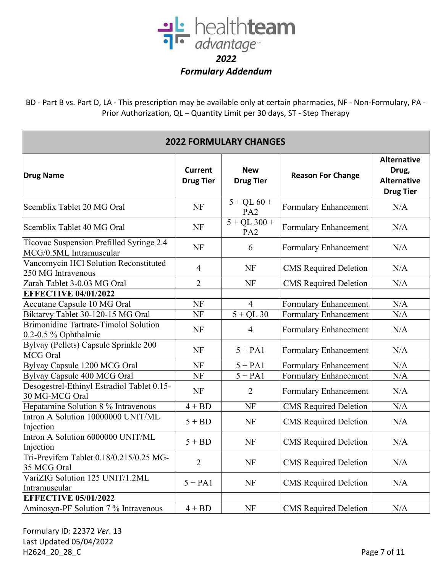

BD - Part B vs. Part D, LA - This prescription may be available only at certain pharmacies, NF - Non-Formulary, PA - Prior Authorization, QL – Quantity Limit per 30 days, ST - Step Therapy

| <b>2022 FORMULARY CHANGES</b>                                            |                                    |                                   |                              |                                                                       |
|--------------------------------------------------------------------------|------------------------------------|-----------------------------------|------------------------------|-----------------------------------------------------------------------|
| <b>Drug Name</b>                                                         | <b>Current</b><br><b>Drug Tier</b> | <b>New</b><br><b>Drug Tier</b>    | <b>Reason For Change</b>     | <b>Alternative</b><br>Drug,<br><b>Alternative</b><br><b>Drug Tier</b> |
| Scemblix Tablet 20 MG Oral                                               | <b>NF</b>                          | $5 + QL 60 +$<br>PA <sub>2</sub>  | Formulary Enhancement        | N/A                                                                   |
| Scemblix Tablet 40 MG Oral                                               | <b>NF</b>                          | $5 + QL$ 300 +<br>PA <sub>2</sub> | Formulary Enhancement        | N/A                                                                   |
| Ticovac Suspension Prefilled Syringe 2.4<br>MCG/0.5ML Intramuscular      | <b>NF</b>                          | 6                                 | Formulary Enhancement        | N/A                                                                   |
| Vancomycin HCl Solution Reconstituted<br>250 MG Intravenous              | 4                                  | NF                                | <b>CMS</b> Required Deletion | N/A                                                                   |
| Zarah Tablet 3-0.03 MG Oral                                              | $\overline{2}$                     | NF                                | CMS Required Deletion        | N/A                                                                   |
| <b>EFFECTIVE 04/01/2022</b>                                              |                                    |                                   |                              |                                                                       |
| Accutane Capsule 10 MG Oral                                              | <b>NF</b>                          | $\overline{4}$                    | Formulary Enhancement        | N/A                                                                   |
| Biktarvy Tablet 30-120-15 MG Oral                                        | <b>NF</b>                          | $5 + QL$ 30                       | Formulary Enhancement        | N/A                                                                   |
| <b>Brimonidine Tartrate-Timolol Solution</b><br>$0.2 - 0.5$ % Ophthalmic | <b>NF</b>                          | 4                                 | Formulary Enhancement        | N/A                                                                   |
| Bylvay (Pellets) Capsule Sprinkle 200<br>MCG Oral                        | <b>NF</b>                          | $5 + PA1$                         | Formulary Enhancement        | N/A                                                                   |
| Bylvay Capsule 1200 MCG Oral                                             | <b>NF</b>                          | $5 + PA1$                         | Formulary Enhancement        | N/A                                                                   |
| Bylvay Capsule 400 MCG Oral                                              | NF                                 | $5 + PA1$                         | Formulary Enhancement        | N/A                                                                   |
| Desogestrel-Ethinyl Estradiol Tablet 0.15-<br>30 MG-MCG Oral             | NF                                 | 2                                 | Formulary Enhancement        | N/A                                                                   |
| Hepatamine Solution 8 % Intravenous                                      | $4 + BD$                           | <b>NF</b>                         | <b>CMS</b> Required Deletion | N/A                                                                   |
| Intron A Solution 10000000 UNIT/ML<br>Injection                          | $5 + BD$                           | NF                                | <b>CMS</b> Required Deletion | N/A                                                                   |
| Intron A Solution 6000000 UNIT/ML<br>Injection                           | $5 + BD$                           | NF                                | <b>CMS</b> Required Deletion | N/A                                                                   |
| Tri-Previfem Tablet 0.18/0.215/0.25 MG-<br>35 MCG Oral                   | $\overline{2}$                     | NF                                | <b>CMS</b> Required Deletion | N/A                                                                   |
| VariZIG Solution 125 UNIT/1.2ML<br>Intramuscular                         | $5 + PA1$                          | NF                                | <b>CMS</b> Required Deletion | N/A                                                                   |
| <b>EFFECTIVE 05/01/2022</b>                                              |                                    |                                   |                              |                                                                       |
| Aminosyn-PF Solution 7 % Intravenous                                     | $4 + BD$                           | NF                                | <b>CMS</b> Required Deletion | N/A                                                                   |

Formulary ID: 22372 *Ver*. 13 Last Updated 05/04/2022 H2624\_20\_28\_C Page 7 of 11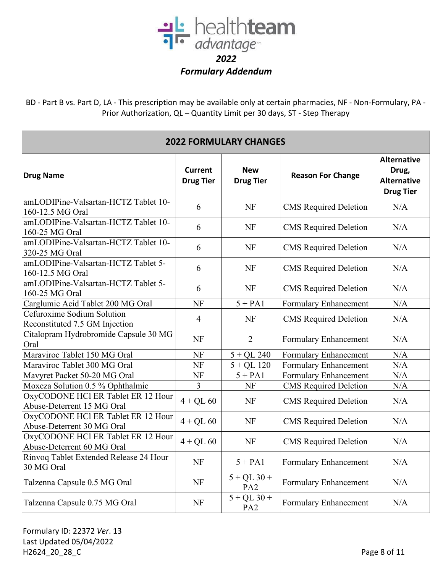

BD - Part B vs. Part D, LA - This prescription may be available only at certain pharmacies, NF - Non-Formulary, PA - Prior Authorization, QL – Quantity Limit per 30 days, ST - Step Therapy

| <b>2022 FORMULARY CHANGES</b>                                    |                                    |                                  |                              |                                                                       |  |
|------------------------------------------------------------------|------------------------------------|----------------------------------|------------------------------|-----------------------------------------------------------------------|--|
| <b>Drug Name</b>                                                 | <b>Current</b><br><b>Drug Tier</b> | <b>New</b><br><b>Drug Tier</b>   | <b>Reason For Change</b>     | <b>Alternative</b><br>Drug,<br><b>Alternative</b><br><b>Drug Tier</b> |  |
| amLODIPine-Valsartan-HCTZ Tablet 10-<br>160-12.5 MG Oral         | 6                                  | NF                               | <b>CMS</b> Required Deletion | N/A                                                                   |  |
| amLODIPine-Valsartan-HCTZ Tablet 10-<br>160-25 MG Oral           | 6                                  | NF                               | <b>CMS</b> Required Deletion | N/A                                                                   |  |
| amLODIPine-Valsartan-HCTZ Tablet 10-<br>320-25 MG Oral           | 6                                  | NF                               | <b>CMS</b> Required Deletion | N/A                                                                   |  |
| amLODIPine-Valsartan-HCTZ Tablet 5-<br>160-12.5 MG Oral          | 6                                  | NF                               | <b>CMS</b> Required Deletion | N/A                                                                   |  |
| amLODIPine-Valsartan-HCTZ Tablet 5-<br>160-25 MG Oral            | 6                                  | NF                               | <b>CMS</b> Required Deletion | N/A                                                                   |  |
| Carglumic Acid Tablet 200 MG Oral                                | <b>NF</b>                          | $5 + PA1$                        | Formulary Enhancement        | N/A                                                                   |  |
| Cefuroxime Sodium Solution<br>Reconstituted 7.5 GM Injection     | $\overline{4}$                     | NF                               | <b>CMS</b> Required Deletion | N/A                                                                   |  |
| Citalopram Hydrobromide Capsule 30 MG<br>Oral                    | <b>NF</b>                          | $\overline{2}$                   | Formulary Enhancement        | N/A                                                                   |  |
| Maraviroc Tablet 150 MG Oral                                     | <b>NF</b>                          | $5 + QL$ 240                     | Formulary Enhancement        | N/A                                                                   |  |
| Maraviroc Tablet 300 MG Oral                                     | <b>NF</b>                          | $5 + QL$ 120                     | Formulary Enhancement        | N/A                                                                   |  |
| Mavyret Packet 50-20 MG Oral                                     | NF                                 | $5 + PA1$                        | Formulary Enhancement        | N/A                                                                   |  |
| Moxeza Solution 0.5 % Ophthalmic                                 | 3                                  | NF                               | <b>CMS</b> Required Deletion | N/A                                                                   |  |
| OxyCODONE HCl ER Tablet ER 12 Hour<br>Abuse-Deterrent 15 MG Oral | $4 + QL 60$                        | NF                               | <b>CMS</b> Required Deletion | N/A                                                                   |  |
| OxyCODONE HCl ER Tablet ER 12 Hour<br>Abuse-Deterrent 30 MG Oral | $4 + QL 60$                        | NF                               | <b>CMS</b> Required Deletion | N/A                                                                   |  |
| OxyCODONE HCl ER Tablet ER 12 Hour<br>Abuse-Deterrent 60 MG Oral | $4 + QL 60$                        | <b>NF</b>                        | <b>CMS</b> Required Deletion | N/A                                                                   |  |
| Rinvoq Tablet Extended Release 24 Hour<br>30 MG Oral             | <b>NF</b>                          | $5 + PA1$                        | Formulary Enhancement        | N/A                                                                   |  |
| Talzenna Capsule 0.5 MG Oral                                     | <b>NF</b>                          | $5 + QL$ 30 +<br>PA <sub>2</sub> | Formulary Enhancement        | N/A                                                                   |  |
| Talzenna Capsule 0.75 MG Oral                                    | <b>NF</b>                          | $5 + QL$ 30 +<br>PA <sub>2</sub> | Formulary Enhancement        | N/A                                                                   |  |

Formulary ID: 22372 *Ver*. 13 Last Updated 05/04/2022 H2624\_20\_28\_C Page 8 of 11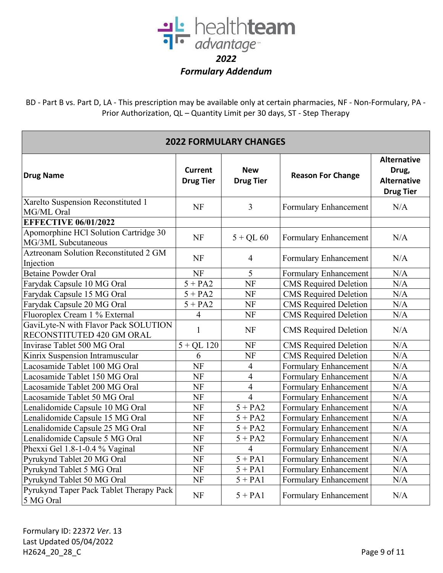

| <b>2022 FORMULARY CHANGES</b>                                     |                                    |                                |                              |                                                                       |
|-------------------------------------------------------------------|------------------------------------|--------------------------------|------------------------------|-----------------------------------------------------------------------|
| <b>Drug Name</b>                                                  | <b>Current</b><br><b>Drug Tier</b> | <b>New</b><br><b>Drug Tier</b> | <b>Reason For Change</b>     | <b>Alternative</b><br>Drug,<br><b>Alternative</b><br><b>Drug Tier</b> |
| Xarelto Suspension Reconstituted 1<br>MG/ML Oral                  | <b>NF</b>                          | $\overline{3}$                 | Formulary Enhancement        | N/A                                                                   |
| <b>EFFECTIVE 06/01/2022</b>                                       |                                    |                                |                              |                                                                       |
| Apomorphine HCl Solution Cartridge 30<br>MG/3ML Subcutaneous      | <b>NF</b>                          | $5 + QL 60$                    | Formulary Enhancement        | N/A                                                                   |
| <b>Aztreonam Solution Reconstituted 2 GM</b><br>Injection         | <b>NF</b>                          | $\overline{4}$                 | Formulary Enhancement        | N/A                                                                   |
| <b>Betaine Powder Oral</b>                                        | NF                                 | 5                              | Formulary Enhancement        | N/A                                                                   |
| Farydak Capsule 10 MG Oral                                        | $5 + PA2$                          | NF                             | <b>CMS</b> Required Deletion | N/A                                                                   |
| Farydak Capsule 15 MG Oral                                        | $5 + PA2$                          | NF                             | <b>CMS</b> Required Deletion | N/A                                                                   |
| Farydak Capsule 20 MG Oral                                        | $5 + PA2$                          | <b>NF</b>                      | <b>CMS</b> Required Deletion | N/A                                                                   |
| Fluoroplex Cream 1 % External                                     | 4                                  | NF                             | <b>CMS</b> Required Deletion | N/A                                                                   |
| GaviLyte-N with Flavor Pack SOLUTION<br>RECONSTITUTED 420 GM ORAL | $\mathbf{1}$                       | <b>NF</b>                      | <b>CMS</b> Required Deletion | N/A                                                                   |
| Invirase Tablet 500 MG Oral                                       | $5 + QL$ 120                       | NF                             | <b>CMS</b> Required Deletion | N/A                                                                   |
| Kinrix Suspension Intramuscular                                   | 6                                  | <b>NF</b>                      | <b>CMS</b> Required Deletion | N/A                                                                   |
| Lacosamide Tablet 100 MG Oral                                     | <b>NF</b>                          | $\overline{4}$                 | Formulary Enhancement        | N/A                                                                   |
| Lacosamide Tablet 150 MG Oral                                     | NF                                 | $\overline{4}$                 | Formulary Enhancement        | N/A                                                                   |
| Lacosamide Tablet 200 MG Oral                                     | <b>NF</b>                          | $\overline{4}$                 | Formulary Enhancement        | N/A                                                                   |
| Lacosamide Tablet 50 MG Oral                                      | NF                                 | $\overline{4}$                 | Formulary Enhancement        | N/A                                                                   |
| Lenalidomide Capsule 10 MG Oral                                   | <b>NF</b>                          | $5 + PA2$                      | Formulary Enhancement        | N/A                                                                   |
| Lenalidomide Capsule 15 MG Oral                                   | <b>NF</b>                          | $5 + PA2$                      | Formulary Enhancement        | N/A                                                                   |
| Lenalidomide Capsule 25 MG Oral                                   | <b>NF</b>                          | $5 + PA2$                      | Formulary Enhancement        | N/A                                                                   |
| Lenalidomide Capsule 5 MG Oral                                    | NF                                 | $5 + PA2$                      | Formulary Enhancement        | N/A                                                                   |
| Phexxi Gel 1.8-1-0.4 % Vaginal                                    | <b>NF</b>                          | $\overline{4}$                 | Formulary Enhancement        | N/A                                                                   |
| Pyrukynd Tablet 20 MG Oral                                        | NF                                 | $5 + PA1$                      | Formulary Enhancement        | N/A                                                                   |
| Pyrukynd Tablet 5 MG Oral                                         | <b>NF</b>                          | $5 + PA1$                      | Formulary Enhancement        | N/A                                                                   |
| Pyrukynd Tablet 50 MG Oral                                        | NF                                 | $5 + PA1$                      | Formulary Enhancement        | $\rm N/A$                                                             |
| Pyrukynd Taper Pack Tablet Therapy Pack<br>5 MG Oral              | <b>NF</b>                          | $5 + PA1$                      | Formulary Enhancement        | N/A                                                                   |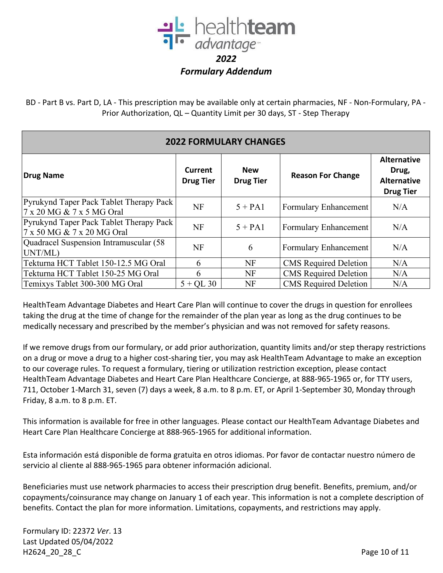

BD - Part B vs. Part D, LA - This prescription may be available only at certain pharmacies, NF - Non-Formulary, PA - Prior Authorization, QL – Quantity Limit per 30 days, ST - Step Therapy

| <b>2022 FORMULARY CHANGES</b>                                         |                             |                                |                              |                                                                       |  |
|-----------------------------------------------------------------------|-----------------------------|--------------------------------|------------------------------|-----------------------------------------------------------------------|--|
| Drug Name                                                             | Current<br><b>Drug Tier</b> | <b>New</b><br><b>Drug Tier</b> | <b>Reason For Change</b>     | <b>Alternative</b><br>Drug,<br><b>Alternative</b><br><b>Drug Tier</b> |  |
| Pyrukynd Taper Pack Tablet Therapy Pack<br>7 x 20 MG & 7 x 5 MG Oral  | <b>NF</b>                   | $5 + PA1$                      | <b>Formulary Enhancement</b> | N/A                                                                   |  |
| Pyrukynd Taper Pack Tablet Therapy Pack<br>7 x 50 MG & 7 x 20 MG Oral | <b>NF</b>                   | $5 + PA1$                      | Formulary Enhancement        | N/A                                                                   |  |
| Quadracel Suspension Intramuscular (58<br>UNT/ML)                     | <b>NF</b>                   | 6                              | Formulary Enhancement        | N/A                                                                   |  |
| Tekturna HCT Tablet 150-12.5 MG Oral                                  | 6                           | NF                             | <b>CMS</b> Required Deletion | N/A                                                                   |  |
| Tekturna HCT Tablet 150-25 MG Oral                                    | 6                           | NF                             | <b>CMS</b> Required Deletion | N/A                                                                   |  |
| Temixys Tablet 300-300 MG Oral                                        | $5 + OL$ 30                 | NF                             | <b>CMS</b> Required Deletion | N/A                                                                   |  |

HealthTeam Advantage Diabetes and Heart Care Plan will continue to cover the drugs in question for enrollees taking the drug at the time of change for the remainder of the plan year as long as the drug continues to be medically necessary and prescribed by the member's physician and was not removed for safety reasons.

If we remove drugs from our formulary, or add prior authorization, quantity limits and/or step therapy restrictions on a drug or move a drug to a higher cost-sharing tier, you may ask HealthTeam Advantage to make an exception to our coverage rules. To request a formulary, tiering or utilization restriction exception, please contact HealthTeam Advantage Diabetes and Heart Care Plan Healthcare Concierge, at 888-965-1965 or, for TTY users, 711, October 1-March 31, seven (7) days a week, 8 a.m. to 8 p.m. ET, or April 1-September 30, Monday through Friday, 8 a.m. to 8 p.m. ET.

This information is available for free in other languages. Please contact our HealthTeam Advantage Diabetes and Heart Care Plan Healthcare Concierge at 888-965-1965 for additional information.

Esta información está disponible de forma gratuita en otros idiomas. Por favor de contactar nuestro número de servicio al cliente al 888-965-1965 para obtener información adicional.

Beneficiaries must use network pharmacies to access their prescription drug benefit. Benefits, premium, and/or copayments/coinsurance may change on January 1 of each year. This information is not a complete description of benefits. Contact the plan for more information. Limitations, copayments, and restrictions may apply.